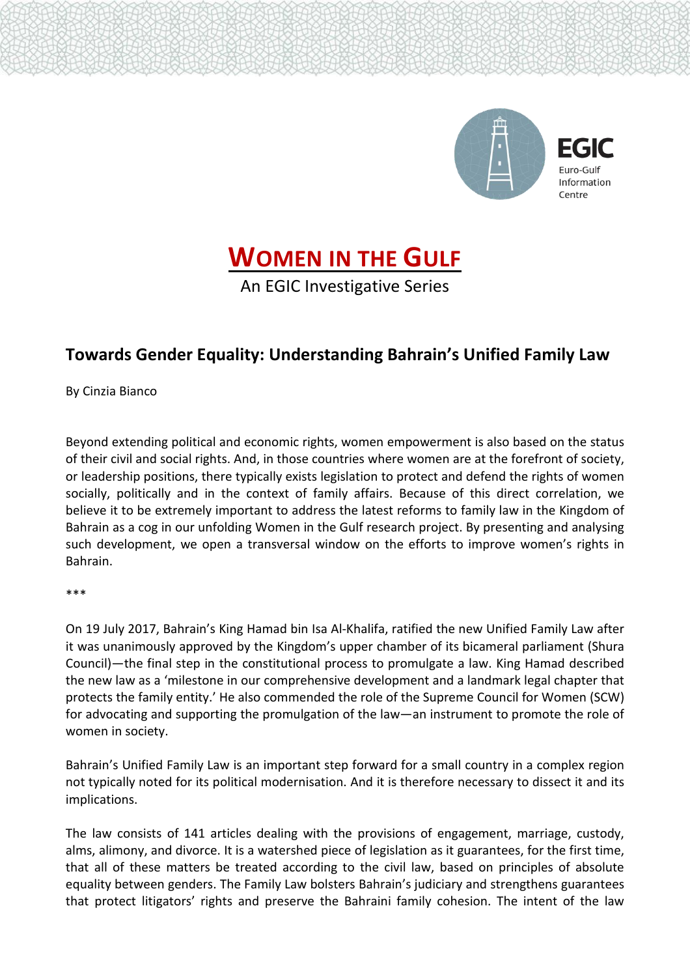

Euro-Gulf Information

## **WOMEN IN THE GULF**

An EGIC Investigative Series

## **Towards Gender Equality: Understanding Bahrain's Unified Family Law**

By Cinzia Bianco

Beyond extending political and economic rights, women empowerment is also based on the status of their civil and social rights. And, in those countries where women are at the forefront of society, or leadership positions, there typically exists legislation to protect and defend the rights of women socially, politically and in the context of family affairs. Because of this direct correlation, we believe it to be extremely important to address the latest reforms to family law in the Kingdom of Bahrain as a cog in our unfolding Women in the Gulf research project. By presenting and analysing such development, we open a transversal window on the efforts to improve women's rights in Bahrain.

\*\*\*

On 19 July 2017, Bahrain's King Hamad bin Isa Al-Khalifa, ratified the new Unified Family Law after it was unanimously approved by the Kingdom's upper chamber of its bicameral parliament (Shura Council)—the final step in the constitutional process to promulgate a law. King Hamad described the new law as a 'milestone in our comprehensive development and a landmark legal chapter that protects the family entity.' He also commended the role of the Supreme Council for Women (SCW) for advocating and supporting the promulgation of the law—an instrument to promote the role of women in society.

Bahrain's Unified Family Law is an important step forward for a small country in a complex region not typically noted for its political modernisation. And it is therefore necessary to dissect it and its implications.

The law consists of 141 articles dealing with the provisions of engagement, marriage, custody, alms, alimony, and divorce. It is a watershed piece of legislation as it guarantees, for the first time, that all of these matters be treated according to the civil law, based on principles of absolute equality between genders. The Family Law bolsters Bahrain's judiciary and strengthens guarantees that protect litigators' rights and preserve the Bahraini family cohesion. The intent of the law